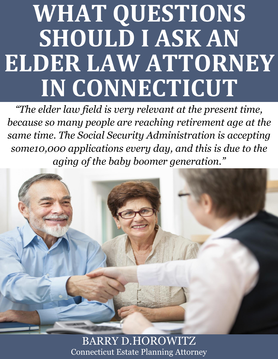# **WHAT QUESTIONS SHOULD I ASK AN ELDER LAW ATTORNEY IN CONNECTICUT**

*"The elder law field is very relevant at the present time, because so many people are reaching retirement age at the same time. The Social Security Administration is accepting some10,000 applications every day, and this is due to the aging of the baby boomer generation."*



What  $\alpha$  and  $\alpha$  [Connecticut Estate Planning Attorney](http://www.preserveyourestate.net/) in Connecticut Estate. BARRY D.HOROWITZ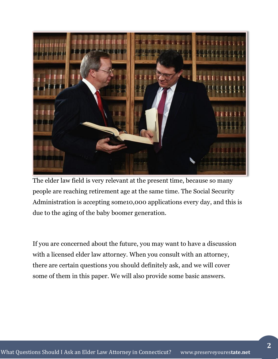

The elder law field is very relevant at the present time, because so many people are reaching retirement age at the same time. The Social Security Administration is accepting some10,000 applications every day, and this is due to the aging of the baby boomer generation.

If you are concerned about the future, you may want to have a discussion with a licensed elder law attorney. When you consult with an attorney, there are certain questions you should definitely ask, and we will cover some of them in this paper. We will also provide some basic answers.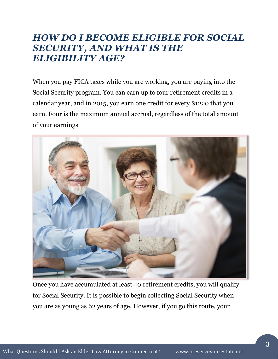# *HOW DO I BECOME ELIGIBLE FOR SOCIAL SECURITY, AND WHAT IS THE ELIGIBILITY AGE?*

When you pay FICA taxes while you are working, you are paying into the Social Security program. You can earn up to four retirement credits in a calendar year, and in 2015, you earn one credit for every \$1220 that you earn. Four is the maximum annual accrual, regardless of the total amount of your earnings.



Once you have accumulated at least 40 retirement credits, you will qualify for Social Security. It is possible to begin collecting Social Security when you are as young as 62 years of age. However, if you go this route, your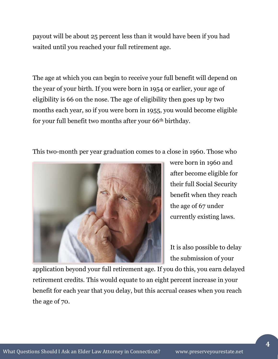payout will be about 25 percent less than it would have been if you had waited until you reached your full retirement age.

The age at which you can begin to receive your full benefit will depend on the year of your birth. If you were born in 1954 or earlier, your age of eligibility is 66 on the nose. The age of eligibility then goes up by two months each year, so if you were born in 1955, you would become eligible for your full benefit two months after your 66<sup>th</sup> birthday.

This two-month per year graduation comes to a close in 1960. Those who



were born in 1960 and after become eligible for their full Social Security benefit when they reach the age of 67 under currently existing laws.

It is also possible to delay the submission of your

application beyond your full retirement age. If you do this, you earn delayed retirement credits. This would equate to an eight percent increase in your benefit for each year that you delay, but this accrual ceases when you reach the age of 70.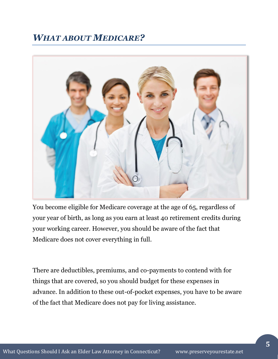# *WHAT ABOUT MEDICARE?*



You become eligible for Medicare coverage at the age of 65, regardless of your year of birth, as long as you earn at least 40 retirement credits during your working career. However, you should be aware of the fact that Medicare does not cover everything in full.

There are deductibles, premiums, and co-payments to contend with for things that are covered, so you should budget for these expenses in advance. In addition to these out-of-pocket expenses, you have to be aware of the fact that Medicare does not pay for living assistance.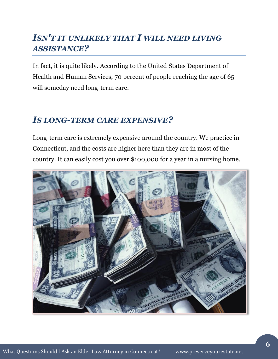# *ISN'T IT UNLIKELY THAT I WILL NEED LIVING ASSISTANCE?*

In fact, it is quite likely. According to the United States Department of Health and Human Services, 70 percent of people reaching the age of 65 will someday need long-term care.

### *IS LONG-TERM CARE EXPENSIVE?*

Long-term care is extremely expensive around the country. We practice in Connecticut, and the costs are higher here than they are in most of the country. It can easily cost you over \$100,000 for a year in a nursing home.

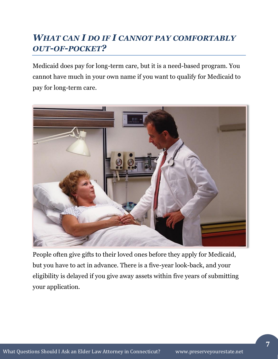# *WHAT CAN I DO IF I CANNOT PAY COMFORTABLY OUT-OF-POCKET?*

Medicaid does pay for long-term care, but it is a need-based program. You cannot have much in your own name if you want to qualify for Medicaid to pay for long-term care.



People often give gifts to their loved ones before they apply for Medicaid, but you have to act in advance. There is a five-year look-back, and your eligibility is delayed if you give away assets within five years of submitting your application.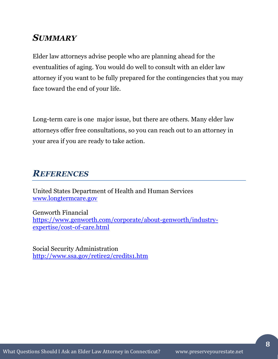### *SUMMARY*

Elder law attorneys advise people who are planning ahead for the eventualities of aging. You would do well to consult with an elder law attorney if you want to be fully prepared for the contingencies that you may face toward the end of your life.

Long-term care is one major issue, but there are others. Many elder law attorneys offer free consultations, so you can reach out to an attorney in your area if you are ready to take action.

## *REFERENCES*

United States Department of Health and Human Services [www.longtermcare.gov](http://www.longtermcare.gov/)

Genworth Financial [https://www.genworth.com/corporate/about-genworth/industry](https://www.genworth.com/corporate/about-genworth/industry-expertise/cost-of-care.html)[expertise/cost-of-care.html](https://www.genworth.com/corporate/about-genworth/industry-expertise/cost-of-care.html)

Social Security Administration <http://www.ssa.gov/retire2/credits1.htm>